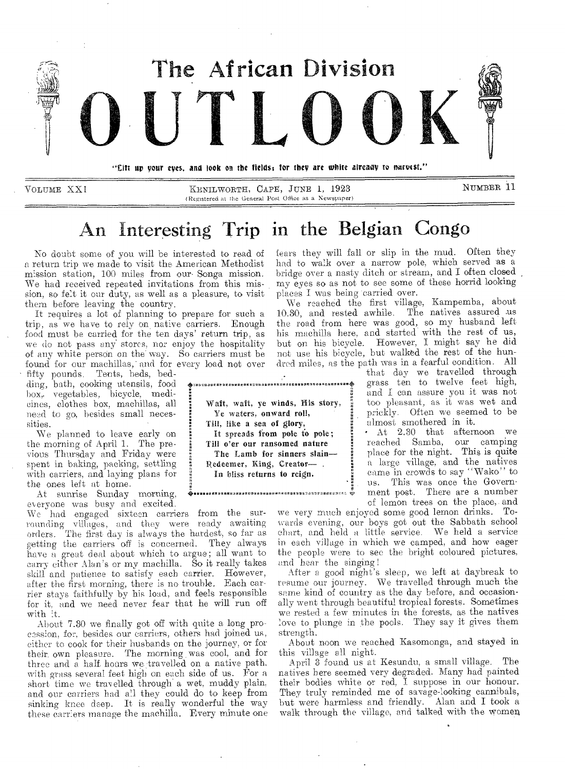

VOLUME XX I KENILWORTH, CAPE, **JUNE** 1, **1923** NUMBER 11 (Registered at the General Post Office as a Newspaper)

## An Interesting Trip in the Belgian Congo

**No doubt some of you** will be **interested** to read of **a return trip we made to** visit the **American Methodist mission station, 100 miles** from our **Songa** mission. **We had received repeated** invitations from this mission, **so felt it our duty, as** well as a pleasure, to visit **them before leaving the country.** 

**It requires a lot of planning to prepare for** such a **trip, as we have to rely on native carriers.** Enough **food must be carried for the ten days' return** trip, **as we clo not pass any stores, nor enjoy the** hospitality **of any white person on the' way. So carriers** must **be found for our machillas,' and for every load not over** 

**fifty pounds. Tents, beds, bedding, bath, cooking utensils,** food **box,. vegetables, bicycle,** medicines, **clothes box,** machillas, all need **to go, besides small** necessities.

**We planned to leave** early on the **morning of April** I. The previous **Thursday and Friday were spent** in **baking, packing, settling with carriers, and laying plans for the ones left at** home.

**At sunrise Sunday morning, el, eryone was busy and excited.** 

**We had engaged sixteen carriers from the surrounding villages, and they were ready awaiting orders. The first day is always the hardest, so far as getting the carriers off is concerned. They always have a great deal about which to argue;** all **want to carry either Alan's or my machilla. So it really takes skill and patience to satisfy each** carrier. However, **after the first morning, there is no trouble.** Each **carrier stays faithfully by his load,** and feels responsible **for it, and we need never fear** that he will run off with it.

**About 7.30 we finally got off** with quite a long pro**cassion, for, besides our carriers,** others had joined us, **either to cook for their husbands on the** journey, or for **their. own pleasure.** The **morning** was cool, and for **three and a half** hours **we.:travelled on a** native path, **with grass several feet** high **on each** side of us. For a **short time we travelled through a** wet, muddy **plain, and our carriers had** all they could do to keep from **sinking knee deep.** It is really wonderful the way **these carriers manage** the machilla. Every minute one

**fears they will** fall or slip in the mud. Often they had to walk over a narrow pole, which served as a **bridge over a nasty ditch or stream,** and I often closed **my eyes so as not to see some of** these horrid looking places I was being carried over.

**We reached the first** village, Kampemba, about **10.30, and** rested **awhile. The** natives assured .us the **road from here was good, so** my husband left his **machilla here, and started** with the rest of us, **but on his bicycle. However, I** might say he **did not use his bicycle, but walked** the rest of the hundred **miles, as the path was in** a fearful condition. All

**that day** we travelled through **and I can assure you it** was not **too pleasant, as it was** wet and **prickly. Often we seemed to be almost smothered in** it.

**• At 2.30 that** afternoon we **reached Samba,** our camping **place for the night. This is quite a large village,** and the natives **came in crowds to** say "Wako" to **us. This was** once **the** Government **post.** There are a number **of lemon trees** on the place, and

**we very much enjoyed some good** lemon drinks. Towards **evening, our boys got out** the Sabbath school **chart, and held a little service.** We held a service **in each village in which we camped,** and how eager **the people were to see the bright** coloured pictures, **and hear the singing!** 

**After a good night's sleep,** we left at daybreak to **resume our journey. We travelled through** much the **same kind of country as the day before,** and occasionally **went through beautiful tropical forests.** Sometimes **we rested a few minutes** in the **forests, as** the natives **love to plunge in the pools. They say it** gives them **strength.** 

**About noon we** reached **Kasomonga,** and stayed **in this village all night.** 

**April 3 found us at Kesundu, a small village.** The **natives here seemed very degraded.** Many **had** painted their **bodies white or red, I suppose in** our honour. They **truly reminded me of savage looking** cannibals, but **were** harmless **and friendly.** Alan and I took a walk through the **village, and** talked with the women,

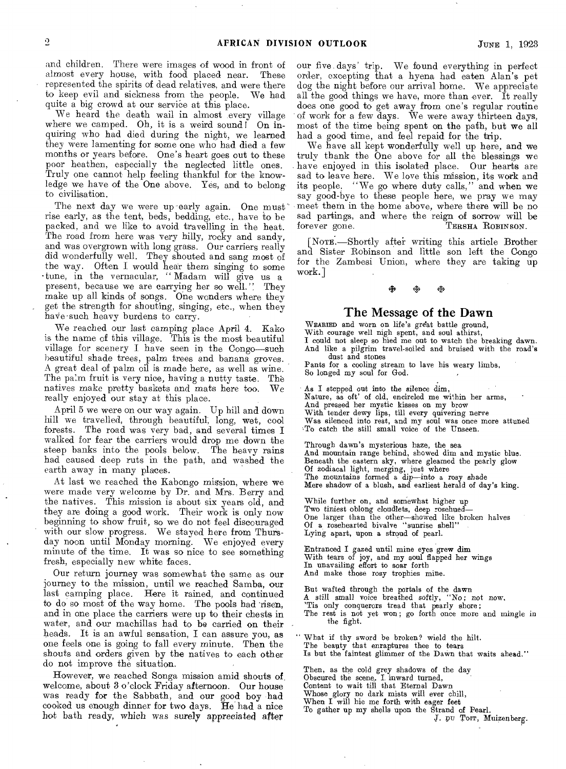and children. There were images of wood in front of almost every house, with food placed near. These represented the spirits of dead relatives, and were there to keep evil and sickness from the people. We had quite a big crowd at our service at this place.

We heard the death wail in almost every village where we camped. Oh, it is a weird sound! On inquiring who had died during the night, we learned they were lamenting for some one who had died a few months or years before. One's heart goes out to these poor heathen, especially the neglected little ones. Truly one cannot help feeling thankful for the knowledge we have of the One above. Yes, and to belong to civilisation.

The next day we were up early again. One must rise early, as the tent, beds, bedding, etc., have to be packed, and we like to avoid travelling in the heat. The road from here was very hilly, rocky and sandy, and was overgrown with long grass. Our carriers really did wonderfully well. They shouted and sang most of the way. Often I would hear them singing to some tune, in the vernacular, "Madam will give us a present, because we are carrying her so well." They present, because we are carrying her so well." make up all kinds of songs. One wonders where they get the strength for shouting, singing, etc., when they have such heavy burdens to carry.

We reached our last camping place April 4. Kako is the name of this village. This is the most beautiful village for scenery I have seen in the Congo—such beautiful shade trees, palm trees and banana groves. A great deal of palm oil is made here, as well as wine. The palm fruit is very nice, having a nutty taste. The natives make pretty baskets and mats here too. We natives make pretty baskets and mats here too. really enjoyed our stay at this place.

April 5 we were on our way again. Up hill and down hill we travelled, through beautiful, long, wet, cool forests. The road was very bad, and several times I walked for fear the carriers would drop me down the steep banks into the pools below. The heavy rains had caused deep ruts in the path, and washed the earth away in many places.

At last we reached the Kabongo mission, where we were made very welcome by Dr. and Mrs. Berry and the natives. This mission is about six years old, and they are doing a good work. Their work is only now beginning to show fruit, so we do not feel discouraged with our slow progress. We stayed here from Thursday noon until Monday morning. We enjoyed every minute of the time. It was so nice to see something fresh, especially new white faces.

Our return journey was somewhat the same as our journey to the mission, until we reached Samba, our last camping place. Here it rained, and continued to do so most of the way home. The pools had risen, and in one place the carriers were up to their chests in water, and our machillas had to be carried on their heads. It is an awful sensation, I can assure you, as one feels one is going to fall every minute. Then the shouts and orders given by the natives to each other do not improve the situation.

However, we reached Songa mission amid shouts of, welcome, about 3 o'clock Friday afternoon. Our house was ready for the Sabbath, and our good boy had cooked us enough dinner for two days. He had a nice hot bath ready, which was surely appreciated after

our five days' trip. We found everything in perfect order, excepting that a hyena had eaten Alan's pet dog the night before our arrival home. We appreciate all the good things we have, more than ever. It really does one good to get away from one's regular routine of work for a few days. We were away thirteen days, most of the time being spent on the path, but we all had a good time, and feel repaid for the trip.

We have all kept wonderfully well up here, and we truly thank the One above for all the blessings we have enjoyed in this isolated place. Our hearts are sad to leave here. We love this mission, its work and its people. "We go where duty calls," and when we say good-bye to these people here, we pray we may meet them in the home above, where there will be no sad partings, and where the reign of sorrow will be forever gone. TERSHA ROBINSON. TERSHA ROBINSON.

NOTE.-Shortly after writing this article Brother and Sister Robinson and little son left the Congo for the Zambesi Union, where they are taking up work.]

# **※**

#### The Message of the Dawn

WEARIED and worn on life's great battle ground, With courage well nigh spent, and soul athirst, I could not sleep so hied me out to watch the breaking dawn. And like a pilgrim travel-soiled and bruised with the road's dust and stones Pants for a cooling stream to lave his weary limbs, So longed my soul for God. So longed nay soul for God. As I stepped out into the silence dim, Nature, as oft' of old, encircled me within her arms, And pressed her mystic kisses on my brow With tender dewy lips, till every quivering nerve

Was silenced into rest, and my soul was once more attuned To catch the still small voice of the Unseen.

Through dawn's mysterious haze, the sea And mountain range behind, showed dim and mystic blue. Beneath the eastern sky, where gleamed the pearly glow Of zodiacal light, merging, just where The mountains formed a dip—into a rosy shade Mere shadow of a blush, and earliest herald of day's king.

While further on, and somewhat higher up Two tiniest oblong clondlets, deep rosehued— One larger than the other—showed like broken halves Of a rosehearted bivalve "sunrise shell" Lying apart, upon a stroud of pearl.

Entranced I gazed until mine eyes grew dim With tears of joy, and my soul flapped her wings In unavailing effort to soar forth And make those rosy trophies mine.

But wafted through the portals of the dawn<br>A still small voice breathed softly, "No; not now,<br>'Tis only conquerors tread that pearly shore; The rest is not yet won ; go forth once more and mingle in the fight.

" What if thy sword be broken? wield the hilt. The beauty that enraptures thee to tears Is but the faintest glimmer of the Dawn that waits ahead."

Then, as the cold grey shadows of the day Obscured the scene, I. inward turned, Content to wait till that Eternal Dawn

Whose glory no dark mists will ever chill, When I will hie me forth with eager feet

To gather up my shells upon the Strand of Pearl.

J. pu Torr, Muizenberg.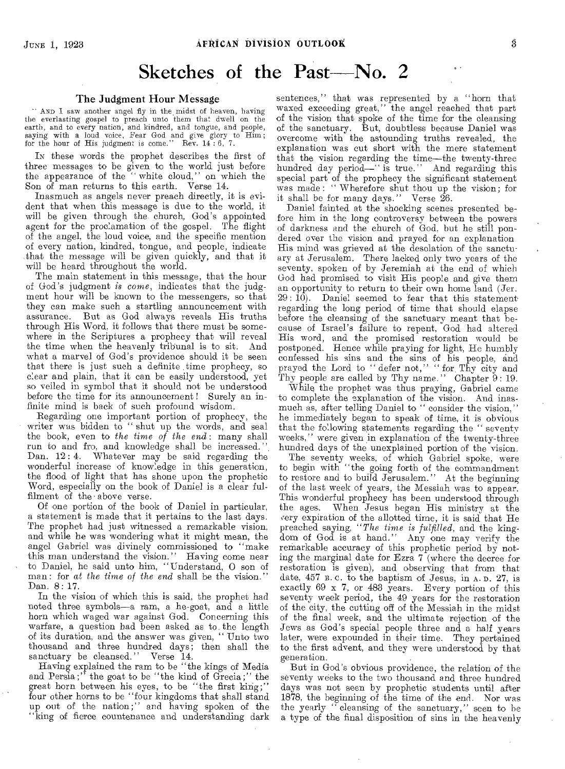### Sketches of the Past---No. 2

#### The Judgment Hour Message

AND I saw another angel fly in the midst of heaven, having the everlasting gospel to preach unto them that dwell on the earth, and to every nation, and kindred, and tongue, and people, saying with a loud voice, Fear God and give glory to Him; for the hour of His judgment is come."

IN these words the prophet describes the first of three messages to be given to the world just before the appearance of the " white cloud," on which the Son of man returns to this earth. Verse 14.

Inasmuch as angels never preach directly, it is evident that when this message is due to the world, it will be given through the church, God's appointed agent for the proclamation of the gospel. The flight of the angel, the loud voice, and the specific mention of every nation, kindred, tongue, and people, indicate that the message will be given quickly, and that it will be heard throughout the world.

The main statement in this message, that the hour of God's judgment *is come,* indicates that the judgment hour will be known to the messengers, so that they can make such a startling announcement with assurance. But as God always reveals His truths through His Word, it follows that there must be somewhere in the Scriptures a prophecy that will reveal the time when the heavenly tribunal is to sit. And what a marvel of God's providence should it be seen that there is just such a definite time prophecy, so clear and plain, that it can be easily understood, yet so veiled in symbol that it should not be understood before the time for its announcement ! Surely an infinite mind is back of such profound wisdom.

Regarding one important portion of prophecy, the writer was bidden to " shut up the words, and seal the book, even to *the time of the end:* many shall run to and fro, and knowledge shall be increased." Dan. 12 : 4. Whatever may be said regarding the wonderful increase of knowledge in this generation, the flood of light that has shone upon the prophetic Word, especially on the book of Daniel is a clear fulfilment of the above verse.

Of one portion of the book of Daniel in particular, a statement is made that it pertains to the last days. The prophet had just witnessed a remarkable vision, and while he was wondering what it might mean, the angel Gabriel was divinely commissioned to "make this man understand the vision." Having come near to Daniel, he said unto him, "Understand, 0 son of man: for *at the time of the end* shall be the vision." Dan. 8: 17.

In the vision of which this is said, the prophet had noted three symbols—a ram, a he-goat, and a little horn which waged war against God. Concerning this warfare, a question had been asked as to. the length of its duration, and the answer was given, " Unto two thousand and three hundred days; then shall the sanctuary be cleansed." Verse 14.

Having explained the ram to be "the kings of Media and Persia ;" the goat to be "the kind of Grecia ;" the great horn between his eyes, to be "the first king;" four other horns to be "four kingdoms that shall stand up out of the nation;" and having spoken of the "king of fierce countenance and understanding dark

sentences," that was represented by a "horn that waxed exceeding great," the angel reached that part of the vision that spoke of the time for the cleansing of the sanctuary. But, doubtless because Daniel was overcome with the astounding truths revealed, the explanation was cut short with the mere statement that the vision regarding the time—the twenty-three hundred day period—" is true." And regarding this special part of the prophecy the significant statement was made : " Wherefore shut thou up the vision; for it shall be for many days." Verse  $26$ .

Daniel fainted at the shocking scenes presented before him in the long controversy between the powers of darkness and the church of God, but he still pondered over the vision and prayed for an explanation His mind was grieved at the desolation of the sanctuary at Jerusalem. There lacked only two years of the seventy, spoken of by Jeremiah at the end of which God had promised to visit His people and give them an opportunity to return to their own home land (Jer.  $29: 10$ . Daniel seemed to fear that this statement regarding the long period of time that should elapse before the cleansing of the sanctuary meant that because of Israel's failure to repent, God had altered His word, and the promised restoration would be postponed. Hence while praying for light, He humbly confessed his sins and the sins of his people, and prayed the Lord to " defer not," " for Thy city and Thy people are called by Thy name." Chapter  $9:19$ .

While the prophet was thus praying, Gabriel came to complete the explanation of the vision. And inasmuch as, after telling Daniel to " consider the vision," he immediately began to speak of time, it is obvious that the following statements regarding the " seventy weeks," were given in explanation of the twenty-three hundred days of the unexplained portion of the vision.

The seventy weeks, of which Gabriel spoke, were to begin with "the going forth of the commandment to restore and to build Jerusalem." At the beginning of the last week of years, the Messiah was to appear. This wonderful prophecy has been understood through the ages.. When Jesus began His ministry at the very expiration of the allotted time, it is said that He preached saying, *"The time is fulfilled,* and the kingdom of God is at hand." Any one may verify the remarkable accuracy of this prophetic period by noting the marginal date for Ezra 7 (where the decree for restoration is given), and observing that from that date, 457 B. C. to the baptism of Jesus, in A. D. 27, is exactly 69 x 7, or 483 years. Every portion of this seventy week period, the 49 years for the restoration of the city, the cutting off of the Messiah in the midst of the final week, and the ultimate rejection of the Jews as God's special people three and a half years later, were expounded in their time. They pertained to the first advent, and they were understood by that generation.

But in God's obvious providence, the relation of the seventy weeks to the two thousand and three hundred days was not seen by prophetic students until after 1878, the beginning of the time of the end. Nor was the yearly "cleansing of the sanctuary," seen to be a type of the final disposition of sins in the heavenly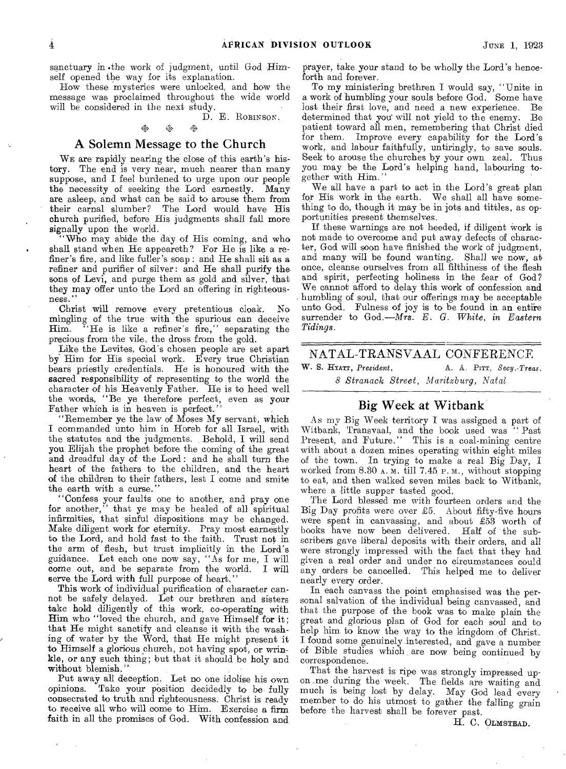sanctuary in the work of judgment, until God Himself opened the way for its explanation.

How these mysteries were unlocked, and how the message was proclaimed throughout the wide world will be considered in the next study.

D. E. ROBINSON.

#### 4t-

#### A Solemn Message to the Church

WE are rapidly nearing the close of this earth's history. The end is very near, much nearer than many suppose, and I feel burdened to urge upon our people the necessity of seeking the Lord earnestly. Many the necessity of seeking the Lord earnestly. are asleep, and what can be said to arouse them from their carnal slumber? The Lord would have His church purified, before His judgments shall fall more signally upon the world.

"Who may abide the day of His coming, and who shall stand when He appeareth? For He is like a refiner's fire, and like fuller's soap : and He shall sit as a refiner and purifier of silver: and He shall purify the sons of Levi, and purge them as gold and silver, that they may offer unto the Lord an offering in righteousness."

Christ will remove every pretentious cloak. No mingling of the true with the spurious can deceive Him. <sup>?</sup>He is like a refiner's fire," separating the precious from the vile, the dross from the gold.

Like the Levites, God's chosen people are set apart by Him for His special work. Every true Christian bears priestly credentials. He is honoured with the sacred responsibility of representing to the world the character of his Heavenly Father. He is to heed well the words, "Be ye therefore perfect, even as your Father which is in heaven is perfect.

"Remember ye the law of Moses My servant, which I commanded unto him in Horeb for all Israel, with the statutes and the judgments. Behold, I will send you Elijah the prophet before the coming of the great and dreadful day of the Lord: and he shall turn the heart of the fathers to the children, and the heart of the children to their fathers, lest I come and smite the earth with a curse."

"Confess your faults one to another, and pray one for another," that ye may be healed of all spiritual infirmities, that sinful dispositions may be changed. Make diligent work for eternity. Pray most earnestly to the Lord, and hold fast to the faith. Trust not in the arm of flesh, but trust implicitly in the Lord's guidance. Let each one now say, "As for me, I will come out, and be separate from the world. I will serve the Lord with full purpose of heart."

This work of individual purification of character cannot be safely delayed. Let our brethren and sisters take hold diligently of this work, co-operating with Him who "loved the church, and gave Himself for it; that He might sanctify and cleanse it with the washing of water by the Word, that He might present it to Himself a glorious church, not having spot, or wrinkle, or any such thing; but that it should be holy and without blemish.'

Put away all deception. Let no one idolise his own opinions. Take your position decidedly to be fully Take your position decidedly to be fully consecrated to truth and righteousness. Christ is ready to receive all who will come to Him. Exercise a firm faith in all the promises of God. With confession and

prayer, take your stand to be wholly the Lord's henceforth and forever.

To my ministering brethren I would say, "Unite in a work of humbling your souls before God. Some have lost their first love, and need a new experience. Be determined that you will not yield to the enemy. Be patient toward all men, remembering that Christ died Improve every capability for the Lord's work, and labour faithfully, untiringly, to save souls. Seek to arouse the churches by your own zeal. Thus you may be the Lord's helping hand, labouring together with Him.'

We all have a part to act in the Lord's great plan for His work in the earth. We shall all have something to do, though it may be in jots and tittles, as opportunities present themselves.

If these warnings are not heeded, if diligent work is not made to overcome and put away defects of character, God will soon have finished the work of judgment, and many will be found wanting. Shall we now, at once, cleanse ourselves from all filthiness of the flesh and spirit, perfecting holiness in the fear of God? We cannot afford to delay this work of confession and humbling of soul, that our offerings may be acceptable unto God. Fulness of joy is to be found in an entire surrender to God.—Mrs. *E. G. White, in Eastern Tidings.* 

NATAL-TRANSVAAL CONFERENCE W. S. HYATT, *President*, A. A. PITT, *Secy.-Treas. 8 Stranack Street, Maritzburg, Natal* 

#### Big Week at Witbank

As my Big Week territory I was assigned a part of Witbank, Transvaal, and the book used was " Past Present, and Future." This is a coal-mining centre with about a dozen mines operating within eight miles of the town. In trying to make a real Big Day, I worked from 8.30 A. M. till 7.45 P. M., without stopping to eat, and then walked seven miles back to Witbank, where a little supper tasted good.

The Lord blessed me with fourteen orders and the Big Day profits were over £5. About fifty-five hours were spent in canvassing, and about £53 worth of books have now been delivered. Half of the subscribers gave liberal deposits with their orders, and all were strongly impressed with the fact that they had given a real order and under no circumstances could any orders be cancelled. This helped me to deliver nearly every order.

In each canvass the point emphasised was the personal salvation of the individual being canvassed, and that the purpose of the book was to make plain the great and glorious plan of God for each soul and to help him to know the way to the kingdom of Christ. I found some genuinely interested, and gave a number of Bible studies which are now being continued by correspondence.

That the harvest is ripe was strongly impressed upon me during the week. The fields are waiting and much is being lost by delay. May God lead every member to do his utmost to gather the falling grain before the harvest shall be forever past.

H. C. OLMSTEAD.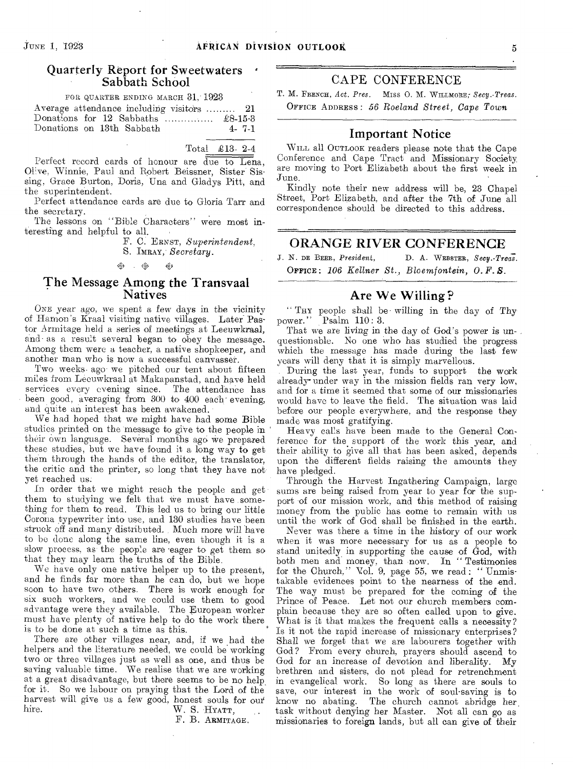#### Quarterly Report for Sweetwaters Sabbath School

FOR QUARTER ENDING MARCH 31, 1923

|                           |  |  | Average attendance including visitors  21 |
|---------------------------|--|--|-------------------------------------------|
|                           |  |  | Donations for 12 Sabbaths $\pounds8-15-3$ |
| Donations on 13th Sabbath |  |  | 4.7-1                                     |

Total  $$13-2-4$ 

Perfect record cards of honour are due to Lena, Olive, Winnie, Paul and Robert Beissner, Sister Sissing, Grace Burton, Doris, Una and Gladys Pitt, and the superintendent.

Perfect attendance cards are due to Gloria Tarr and the secretary.

The lessons on "Bible Characters" were most interesting and helpful to all.

F. C. ERNST, *Superintendent,*  S. IMRAY, *Secretary*.

or *.* 

#### The Message Among the Transvaal **Natives**

ONE *year* ago, we spent a few days in the vicinity of Hamon's Kraal visiting native villages. Later Pastor Armitage held a series of meetings at Leeuwkraal, and- as a result several began to obey the message. Among them were a teacher, a native shopkeeper, and another man who is now a successful canvasser.

Two weeks ago we pitched our tent about fifteen miles from Leeuwkraal at Makapanstad, and have held services every evening since. The attendance has been good, averaging from 300 to 400 each evening, and quite an interest has been awakened.

We had hoped that we might have had some Bible studies printed on the message to give to the people in their own language. Several months ago we prepared these studies, but we have found it a long way to get them through the hands of the editor, the translator, the critic and the printer, so long that they have not. yet reached us;

In order that we might reach the people and get them to studying we felt that we must have something for them to read. This led us to bring our little Corona typewriter into use, and 130 studies have been struck off and many distributed. Much more will have to be done along the same line, even though it is a slow process, as the people are -eager to get them so that they may learn the truths of the Bible.

We have only one native helper up to the present, and he finds far more than he can do, but we hope soon to have two others. There is work enough for six such workers, and we could use them to good advantage were they available. The European worker must have plenty of native help to do the work there is to be done at such a time as this.

There are other villages near, and, if we had the helpers and the literature needed, we could be working two or three villages just as well as one, and thus be saving valuable time. We realise that we are working at a great disadvantage, but there seems to be no help\_ for it. So we labour on praying that the Lord of the harvest will give us a few good, honest souls for our hire.<br>W. S. HYATT. W. S. HYATT,

F. B. ARMITAGE,

### CAPE CONFERENCE

T. M. FRENCH, *Act. Pres.* Miss 0. M. WILLMORE ; *Secy.-Treas.*  21 OFFICE ADDRESS : *56 Roeland Street, Cape* Town

#### Important Notice

Winn all OUTLOOK readers please note that the Cape Conference and Cape Tract and Missionary Society. are moving to Port Elizabeth about the first week in June.

Kindly note their new address will be, 23 Chapel Street, Port Elizabeth, and after the 7th of June all correspondence should be directed to this address.

#### ORANGE RIVER CONFERENCE

*J. N.* DE BEER, *President,* D. A. WEBSTER, *Secy.-Treas.*  OFFICE : *106 Kellner St., Bloemfontein, O. F. S.* 

#### Are We Willing?

" THY people shall be willing in the day of Thy power." Psalm 110: 3.  $\lceil \text{Psalm } 110: 3. \rceil$ 

That we are living in the day of God's power is unquestionable. No one who has studied the progress which the message has made during the last few years will deny that it is simply marvellous.

During the last year, funds to support the work already under way in the mission fields ran very low, and for a time it seemed that some of our missionaries would have to leave the field. The situation was laid before our people everywhere, and the response they made was most gratifying.

Heavy calls have been made to the General Conference for the support of the work this year, and their ability to give all that has been asked, depends upon the different fields raising the amounts they have pledged.

Through the Harvest Ingathering Campaign, large sums are being raised from year to year for the support of our mission work, and this method of raising money from the public has come to remain with us until the work of God shall be finished in the earth.

Never was there a time in the history of our work when it was more necessary for us as a people to stand unitedly in supporting the cause of God, with both men and money, than now. In " Testimonies for the Church," Vol. 9, page 55, we read: " Unmistakable evidences point to the nearness of the end. The way must be prepared for the coming of the Prince of Peace. Let not our church members complain because they are so often called upon to give. What is it that makes the frequent calls a necessity? Is it not the rapid increase of missionary enterprises? Shall we forget that we are labourers together with God? From every church, prayers should ascend to God for an increase of devotion and liberality. My brethren and sisters, do not plead for retrenchment in evangelical work. So long as there are souls to save, our interest in the work of soul-saving is to know no abating. The church cannot abridge her. task without denying her Master. Not all can go as missionaries to foreign lands, but all can give of their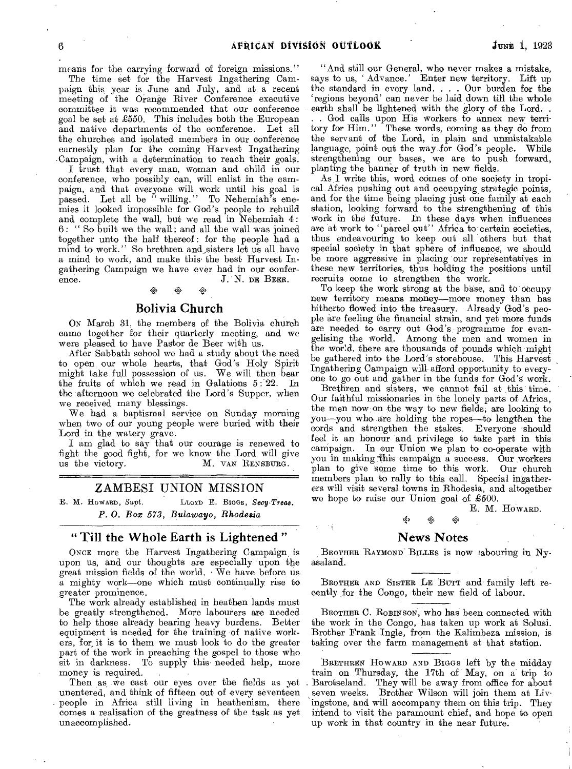means for the carrying forward of foreign missions."

The time set for the Harvest Ingathering Campaign this, year is June and July, and at a recent meeting of the Orange River Conference executive committee it was recommended that our conference goal be set at £550. This includes both the European and native departments of the conference. Let all the churches and isolated members in our conference earnestly plan for the coming Harvest Ingathering .Campaign, with a determination to reach their goals.

I trust that every man, woman and child in our conference, who possibly can, will enlist in the campaign, and that everyone will work until his goal is passed. Let all be " willing." To Nehemiah's enemies it looked impossible for God's people to rebuild and complete the wall, but we read in Nehemiah 4: 6: " So built we the wall; and all the wall was joined together unto the half thereof : for the people had a mind to work." So brethren and sisters let us all have a mind to work, and make this• the best Harvest Ingathering Campaign we have ever had in our conference. J. N. DE BEER. **• •** 

#### **Bolivia Church**

ON March 31, the members of the Bolivia church came together for their quarterly meeting, and we were pleased to have Pastor de Beer with us.

After Sabbath school we had a study about the need to open our whole hearts, that God's Holy Spirit might take full possession of us. We will then bear the fruits of which we read in Galations 5 : 22. In the afternoon we celebrated the Lord's Supper, when we received many blessings.

We had a baptismal service on Sunday morning when two of our young people were buried with their Lord in the watery grave.

I am glad to say that our courage is renewed to fight the good fight, for we know the Lord will give M. VAN RENSBURG.

#### **ZAMBESI UNION MISSION**

E. M. HOWARD, Supt. LLOYD E. BIGGS, *SeCV-TreaS. P. 0. Box .573, Bulawayo, Rhodesia* 

#### **" Till the Whole Earth is Lightened "**

ONCE more the Harvest Ingathering Campaign, is upon us, and our thoughts are especially upon the great mission fields of the world. We have before us a mighty work—one which must continually rise to greater prominence.

The work already established in heathen lands must be greatly strengthened. More labourers are needed to help those already bearing heavy burdens. Better equipment is needed for the training of native workers, for, it is to them we must look to do the greater part of the work in preaching the gospel to those who sit in darkness. To supply this needed help, more money is required.

Then as we cast our eyes over the fields as yet unentered, and think of fifteen out of every seventeen people in Africa still living in heathenism, there comes a realisation of the greatness of the task as yet unaccomplished.

"And still our General, who never makes a mistake, says to us, ' Advance.' Enter new territory. Lift up the standard in every land. . . . Our burden for the `regions beyond' can never be laid down till the whole earth shall be lightened with the glory of the Lord. . . . God calls upon His workers to annex new territory for Him." These words, coming as they do from the servant of the Lord, in plain and unmistakable language, point out the way for God's people. While strengthening our bases, we are to push forward, planting the banner of truth in new fields.

As I write this, word comes of one society in tropical Africa pushing out and occupying strategic points, and for the time being placing just one family at each station, looking forward to the strengthening of this work in the future. In these days when influences are at work to "parcel out" Africa to certain societies, thus endeavouring to keep out all others but that special society in that sphere of influence, we should be more aggressive in placing our representatives in these new territories, thus holding the positions until recruits come to strengthen the work.

To keep the work strong at the base, and to occupy new territory means money—more money than has hitherto flowed into the treasury. Already God's people are feeling the financial strain, and yet more funds are needed to carry out God's programme for evangelising the world. Among the men and women in the world, there are thousands of pounds which might be gathered into the Lord's storehouse. This Harvest Ingathering Campaign will afford opportunity to everyone to go out and gather in the funds for God's work.

Brethren and sisters, we cannot fail at this time. Our faithful missionaries in the lonely parts of. Africa, the men now on the way to new fields, are looking to you—you who, are holding the ropes—to lengthen the cords and strengthen the stakes. Everyone should feel it an honour- and privilege to take part in this campaign. In our Union we plan to co-operate with you in making this campaign a success. Our workers plan to give some time to this work. Our church members plan to rally to this call. Special ingatherers will visit several towns in Rhodesia, and altogether we hope to raise our Union goal of £500.

E. M. HOWARD.

#### < oQa

 $\rightarrow$  (

#### **News Notes**

BROTHER RAYMOND BILLES is now tabouring in Nyasaland.

BROTHER AND SISTER LE BUTT and family left recently for the Congo, their new field of labour.

BROTHER C. ROBINSON, who has been connected with the work in the Congo, has taken up work at Solusi. Brother Frank Ingle, from the Kalimbeza mission, is taking over the farm management at that station.

BRETHREN HOWARD AND BIGGS left by the midday train on Thursday, the 17th of May, on a trip to They will be away from office for about seven weeks. Brother Wilson will join them at Livingstone, and will accompany them on this trip. They intend to visit the paramount chief, and hope to open up work in that country in the near future.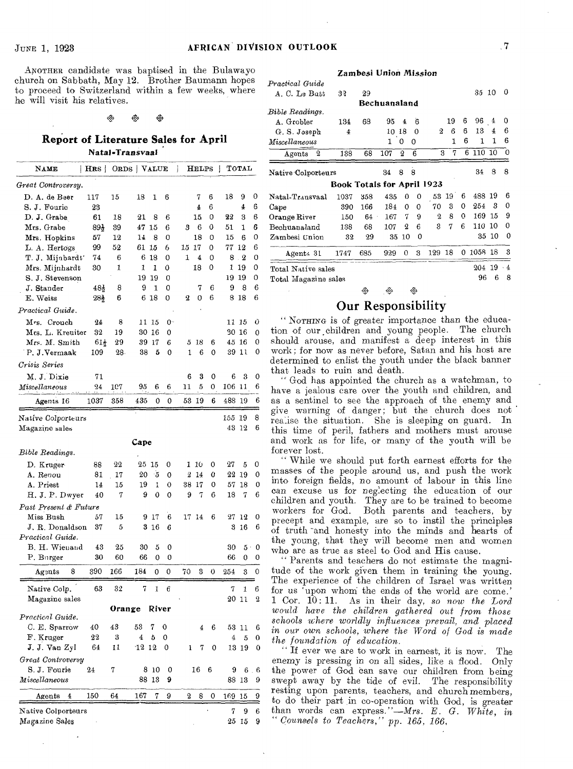ANOTHER candidate was baptised in the Bulawayo church on Sabbath, May 12. Brother Baumann hopes to proceed to Switzerland within a few weeks, where he will visit his relatives.

filosof i

#### **Report of Literature Sales for April**  Natal-Transvaal

| NAME                  | HRS             | ORDS   VALUE |       | J<br>HELPS |    |    | ļ<br>TOTAL |   |     |           |         |
|-----------------------|-----------------|--------------|-------|------------|----|----|------------|---|-----|-----------|---------|
| Great Controversy.    |                 |              |       |            |    |    |            |   |     |           |         |
| D. A. de Beer         | 117             | 15           | 18    | 1          | 6  |    | 7          | 6 | 18  | 9         | 0       |
| S. J. Fourie          | 23              |              |       |            |    |    | 4          | 6 |     | 4         | 6       |
| D. J. Grabe           | 61              | 18           | 21    | 8          | 6  |    | 15         | 0 | 22  | 3         | 6       |
| Mrs. Grabe            | 89}             | 39           | 47 15 |            | 6  | 3  | 6          | 0 | 51  | 1         | 6       |
| Mrs. Hopkins          | 57              | 12           | 14    | 8          | 0  |    | 18         | 0 | 15  | 6         | 0       |
| L. A. Hertogs         | 99              | 52           | 61    | 15         | 6  | 15 | 17         | 0 | 77  | 12        | 6       |
| T. J. Mijnbardt'      | 74              | 6            | 6     | 18         | 0  | 1  | 4          | 0 | 8   | $\cdot$ 2 | 0       |
| Mrs. Mijnhardt        | 30              | 1            | 1     | 1          | 0  |    | 18         | 0 | 1   | 19        | 0       |
| S. J. Stevenson       |                 |              | 19    | 19         | 0  |    |            |   | 19  | 19        | 0       |
| J. Stander            | 481             | 8            | 9     | 1          | 0  |    | 7          | 6 | 9   | 8         | 6       |
| E. Weiss              | 28 <sub>2</sub> | 6            | 6     | 18         | 0  | 2  | 0          | 6 | 8   | 18        | 6       |
| Practical Guide.      |                 |              |       |            |    |    |            |   |     |           |         |
| Mrs. Crouch           | 24              | 8            |       | 11 15      | 0~ |    |            |   |     | 11 15     | 0       |
| Mrs. L. Kreuiter      | 32              | 19           |       | 30 16      | 0  |    |            |   |     | 30 16     | 0       |
| Mrs. M. Smith         | $61_{2}$        | 29           | 39    | 17         | 6  | 5  | 18         | 6 | 45  | 16        | 0       |
| P. J. Vermaak         | 109             | 28.          | 38    | 5          | 0  | 1  | 6          | 0 | 39  | 11        | 0       |
| Crisis Series         |                 |              |       |            |    |    |            |   |     |           |         |
| M. J. Dixie           | 71              |              |       |            |    | 6  | 3          | 0 | 6   | 3         | 0       |
| Miscellaneous         | 24              | 107          | 95    | 6          | 6  | 11 | 5          | 0 | 106 | 11        | 6       |
| Agents 16             | 1037            | 358          | 435   | 0          | 0  | 53 | 19         | 6 | 488 | 19        | 6       |
|                       |                 |              |       |            |    |    |            |   |     |           |         |
| Native Colporteurs    |                 |              |       |            |    |    |            |   | 155 | -19       | 8       |
| Magazine sales        |                 |              |       |            |    |    |            |   | 43  | 12        | 6       |
|                       |                 |              | Cape  |            |    |    |            |   |     |           |         |
| Bible Readings.       |                 |              |       |            |    |    |            |   |     |           |         |
| D. Kruger             | 88              | 22           | 25    | -15        | 0  | 1  | -10        | 0 | 27  | 5         | 0       |
| A. Renou              | 81              | 17           | 20    | -5         | 0  | 2  | 14         | 0 | 22  | 19        | 0       |
| A. Priest             | 14              | 15           | 19    | 1          | 0  | 38 | 17         | 0 | 57  | 18        | 0       |
| H. J. P. Dwyer        | 40              | 7            | 9     | 0          | 0  | 9  | 7          | 6 | 18  | 7         | 6       |
| Past Present & Future |                 |              |       |            |    |    |            |   |     |           |         |
| Miss Bush             | 57              | 15           | 9     | 17         | 6  |    | 17 14      | 6 | 27  | 12        | 0       |
| J. R. Donaldson       | 37              | 5            | 3     | 16         | 6  |    |            |   | 3   | 16        | 6       |
| Practical Guide.      |                 |              |       |            |    |    |            |   |     |           |         |
| B. H. Wienand         | 43              | 25           | 30    | 5          | 0  |    |            |   | 30  | 5.        | 0       |
| P. Burger             | 30              | 60           | 66    | 0          | 0  |    |            |   | 66  | 0         | 0       |
| Agents<br>8           | 390             | 166          | 184   | 0          | 0  | 70 | 3          | 0 | 254 | 3         | 0       |
|                       |                 |              |       |            |    |    |            |   |     |           |         |
| Native Colp.          | 63              | 32           | 7     | 1          | 6  |    |            |   | 7   | 1         | 6       |
| Magazine sales        |                 |              |       | River      |    |    |            |   | 20  | 11        | 2       |
| Practical Guide.      |                 | Orange       |       |            |    |    |            |   |     |           |         |
| C. E. Sparrow         | 40              | 43           | 53    | 7          | 0  |    | 4          | 6 |     | 53 11     | 6       |
| F. Kruger             | 22              | 3            | 4     | 5          | 0  |    |            |   | 4   | 5         | 0       |
| J. J. Van Zyl         | 64              | 11           | 1212  |            | 0  | 1  | 7          | 0 |     | 13 19     | 0       |
| Great Controversy     |                 |              |       |            |    |    |            |   |     |           |         |
| S. J. Fourie          | 24              | 7            |       | 8 10       | 0  |    | 16         | 6 | 9   | 6         | 6<br>l, |
| Miscellaneous         |                 |              |       | 88 13      | 9  |    |            |   |     | 88 13     | 9       |
| Agents<br>4           | 150             | 64           | 167   | 7          | 9  | 2  | 8          | 0 | 169 | 15        | 9       |
|                       |                 |              |       |            |    |    |            |   |     |           |         |
| Native Colporteurs    |                 |              |       |            |    |    |            |   | 7   | 9         | 6       |
| Magazine Sales        |                 |              |       |            |    |    |            |   | 25  | 15        | 9       |

#### *Practical Guide*  A. C. Le Batt 32 29 35 10 0 Bechuanaland 134 68 95 4 6 19 6<br>4 10 18 0 2 6 6 4 1018 0 2 1 '0 0 1 6 138 68 107 2 6 3 7 Native'Colporteurs 34 8 8 Book Totals for April 1923 *Bible Readings.*  A. Grobler G. S. Joseph *Miscellaneous*  Agents 2 96 4 0 13 4 6 1 1 6  $6110100$ 34 8 8 Natal-Transvaal 1037 358 435 0 0 53 19 6 488 19 6 Cape 390 166 184 0 0 70 3 0 254 3 0 Cape 390 166 184 0 0 70 3 0 254 3 0<br>
Orange River 150 64 167 7 9 2 8 0 169 15 9<br>
Bechuanaland 138 68 107 2 6 3 7 6 110 10 0 Bechuanaland 138 68 107 2 6 3 7 6 110 10 0 Zambesi Union 32 29 Agents 31 1747 685 929 0 3 129 18 0 1058 18 3 Total Native sales 204 19 · 4<br>
Total Magazine sales 206 6 8 Total Magazine sales

#### Our Responsibility

• \*4'4

tion of our children and young people. The church " NOTHING is of greater importance than the educashould arouse, and manifest a deep interest in this work; for now as never before, Satan and his host are determined to enlist the youth under the black banner that leads to ruin and death.

" God has appointed the church as a watchman, to have a jealous care over the youth and children, and as a sentinel to see the approach of the enemy and give warning of danger; but the church does not realise the situation. She is sleeping on guard. In this time of peril, fathers and mothers must arouse and work as for life, or many of the youth will be forever lost.

" While we should put forth earnest efforts for the masses of the people around us, and push the work into foreign fields, no amount of labour in this line can excuse us for neglecting the education of our children and youth. They are to be trained to become workers for God. Both parents and teachers, by precept and example, are so to instil the principles of truth -and honesty into the minds and hearts of the young, that they will become men and women who are as true as steel to God and His cause.

" Parents and teachers do not estimate the magnitude of the work given them in training the young. The experience of the children of Israel was written for us 'upon whom the ends of the world are come.' 1 Cor. 10: 11. As in their day, *so now the Lord would have the children gathered out from those schools where worldly influences prevail, and placed in our own schools, where the Word of God is made the foundation of education.* 

" If ever we are to work in earnest, it is now. The enemy is pressing in on all sides, like a flood. Only the power of God can save our children from being swept away by the tide of evil. The responsibility resting upon parents, teachers, and church members, to do their part in co-operation with God, is greater than words can express."—Mrs. *E. G. White, in Counsels to Teachers," pp. 165, 166,* 

#### Zambesi Union *Mission*